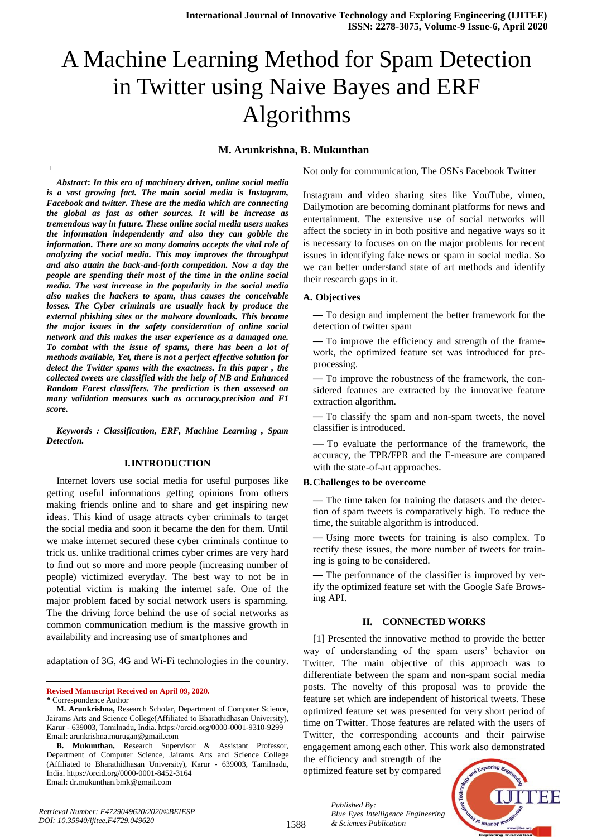# A Machine Learning Method for Spam Detection in Twitter using Naive Bayes and ERF Algorithms

## **M. Arunkrishna, B. Mukunthan**

*Abstract***:** *In this era of machinery driven, online social media is a vast growing fact. The main social media is Instagram, Facebook and twitter. These are the media which are connecting the global as fast as other sources. It will be increase as tremendous way in future. These online social media users makes the information independently and also they can gobble the information. There are so many domains accepts the vital role of analyzing the social media. This may improves the throughput and also attain the back-and-forth competition. Now a day the people are spending their most of the time in the online social media. The vast increase in the popularity in the social media also makes the hackers to spam, thus causes the conceivable losses. The Cyber criminals are usually hack by produce the external phishing sites or the malware downloads. This became the major issues in the safety consideration of online social network and this makes the user experience as a damaged one. To combat with the issue of spams, there has been a lot of methods available, Yet, there is not a perfect effective solution for detect the Twitter spams with the exactness. In this paper , the collected tweets are classified with the help of NB and Enhanced Random Forest classifiers. The prediction is then assessed on many validation measures such as accuracy,precision and F1 score.*

*Keywords : Classification, ERF, Machine Learning , Spam Detection.* 

## **I.INTRODUCTION**

Internet lovers use social media for useful purposes like getting useful informations getting opinions from others making friends online and to share and get inspiring new ideas. This kind of usage attracts cyber criminals to target the social media and soon it became the den for them. Until we make internet secured these cyber criminals continue to trick us. unlike traditional crimes cyber crimes are very hard to find out so more and more people (increasing number of people) victimized everyday. The best way to not be in potential victim is making the internet safe. One of the major problem faced by social network users is spamming. The the driving force behind the use of social networks as common communication medium is the massive growth in availability and increasing use of smartphones and

adaptation of 3G, 4G and Wi-Fi technologies in the country.

**Revised Manuscript Received on April 09, 2020.**

l

 $\Box$ 

Not only for communication, The OSNs Facebook Twitter

Instagram and video sharing sites like YouTube, vimeo, Dailymotion are becoming dominant platforms for news and entertainment. The extensive use of social networks will affect the society in in both positive and negative ways so it is necessary to focuses on on the major problems for recent issues in identifying fake news or spam in social media. So we can better understand state of art methods and identify their research gaps in it.

### **A. Objectives**

— To design and implement the better framework for the detection of twitter spam

— To improve the efficiency and strength of the framework, the optimized feature set was introduced for preprocessing.

— To improve the robustness of the framework, the considered features are extracted by the innovative feature extraction algorithm.

— To classify the spam and non-spam tweets, the novel classifier is introduced.

— To evaluate the performance of the framework, the accuracy, the TPR/FPR and the F-measure are compared with the state-of-art approaches.

#### **B.Challenges to be overcome**

— The time taken for training the datasets and the detection of spam tweets is comparatively high. To reduce the time, the suitable algorithm is introduced.

— Using more tweets for training is also complex. To rectify these issues, the more number of tweets for training is going to be considered.

— The performance of the classifier is improved by verify the optimized feature set with the Google Safe Browsing API.

#### **II. CONNECTED WORKS**

[1] Presented the innovative method to provide the better way of understanding of the spam users' behavior on Twitter. The main objective of this approach was to differentiate between the spam and non-spam social media posts. The novelty of this proposal was to provide the feature set which are independent of historical tweets. These optimized feature set was presented for very short period of time on Twitter. Those features are related with the users of Twitter, the corresponding accounts and their pairwise engagement among each other. This work also demonstrated

the efficiency and strength of the optimized feature set by compared

*& Sciences Publication* 

*Blue Eyes Intelligence Engineering* 

*Published By:*



**<sup>\*</sup>** Correspondence Author

**M. Arunkrishna,** Research Scholar, Department of Computer Science, Jairams Arts and Science College(Affiliated to Bharathidhasan University), Karur - 639003, Tamilnadu, India. https://orcid.org/0000-0001-9310-9299 Email: arunkrishna.murugan@gmail.com

**B. Mukunthan,** Research Supervisor & Assistant Professor, Department of Computer Science, Jairams Arts and Science College (Affiliated to Bharathidhasan University), Karur - 639003, Tamilnadu, India. https://orcid.org/0000-0001-8452-3164 Email: dr.mukunthan.bmk@gmail.com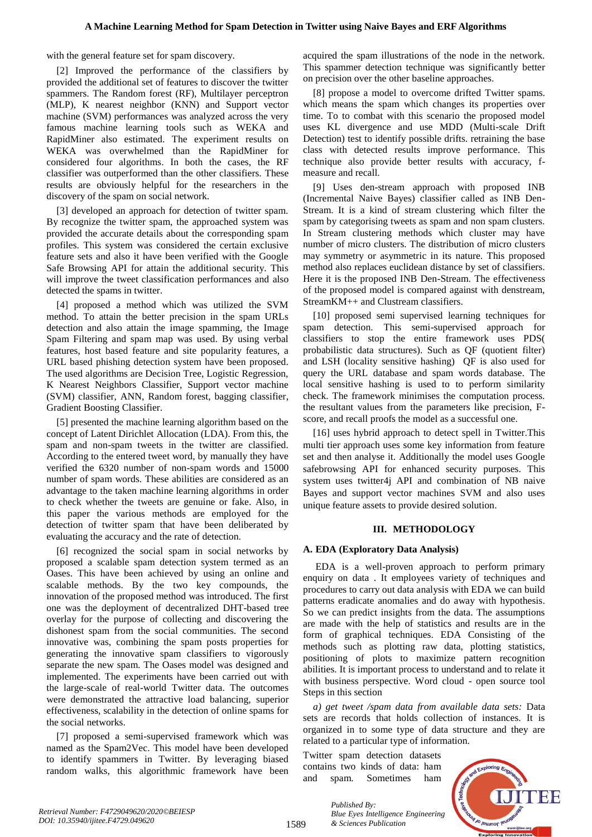with the general feature set for spam discovery.

[2] Improved the performance of the classifiers by provided the additional set of features to discover the twitter spammers. The Random forest (RF), Multilayer perceptron (MLP), K nearest neighbor (KNN) and Support vector machine (SVM) performances was analyzed across the very famous machine learning tools such as WEKA and RapidMiner also estimated. The experiment results on WEKA was overwhelmed than the RapidMiner for considered four algorithms. In both the cases, the RF classifier was outperformed than the other classifiers. These results are obviously helpful for the researchers in the discovery of the spam on social network.

[3] developed an approach for detection of twitter spam. By recognize the twitter spam, the approached system was provided the accurate details about the corresponding spam profiles. This system was considered the certain exclusive feature sets and also it have been verified with the Google Safe Browsing API for attain the additional security. This will improve the tweet classification performances and also detected the spams in twitter.

[4] proposed a method which was utilized the SVM method. To attain the better precision in the spam URLs detection and also attain the image spamming, the Image Spam Filtering and spam map was used. By using verbal features, host based feature and site popularity features, a URL based phishing detection system have been proposed. The used algorithms are Decision Tree, Logistic Regression, K Nearest Neighbors Classifier, Support vector machine (SVM) classifier, ANN, Random forest, bagging classifier, Gradient Boosting Classifier.

[5] presented the machine learning algorithm based on the concept of Latent Dirichlet Allocation (LDA). From this, the spam and non-spam tweets in the twitter are classified. According to the entered tweet word, by manually they have verified the 6320 number of non-spam words and 15000 number of spam words. These abilities are considered as an advantage to the taken machine learning algorithms in order to check whether the tweets are genuine or fake. Also, in this paper the various methods are employed for the detection of twitter spam that have been deliberated by evaluating the accuracy and the rate of detection.

[6] recognized the social spam in social networks by proposed a scalable spam detection system termed as an Oases. This have been achieved by using an online and scalable methods. By the two key compounds, the innovation of the proposed method was introduced. The first one was the deployment of decentralized DHT-based tree overlay for the purpose of collecting and discovering the dishonest spam from the social communities. The second innovative was, combining the spam posts properties for generating the innovative spam classifiers to vigorously separate the new spam. The Oases model was designed and implemented. The experiments have been carried out with the large-scale of real-world Twitter data. The outcomes were demonstrated the attractive load balancing, superior effectiveness, scalability in the detection of online spams for the social networks.

[7] proposed a semi-supervised framework which was named as the Spam2Vec. This model have been developed to identify spammers in Twitter. By leveraging biased random walks, this algorithmic framework have been

acquired the spam illustrations of the node in the network. This spammer detection technique was significantly better on precision over the other baseline approaches.

[8] propose a model to overcome drifted Twitter spams. which means the spam which changes its properties over time. To to combat with this scenario the proposed model uses KL divergence and use MDD (Multi-scale Drift Detection) test to identify possible drifts. retraining the base class with detected results improve performance. This technique also provide better results with accuracy, fmeasure and recall.

[9] Uses den-stream approach with proposed INB (Incremental Naive Bayes) classifier called as INB Den-Stream. It is a kind of stream clustering which filter the spam by categorising tweets as spam and non spam clusters. In Stream clustering methods which cluster may have number of micro clusters. The distribution of micro clusters may symmetry or asymmetric in its nature. This proposed method also replaces euclidean distance by set of classifiers. Here it is the proposed INB Den-Stream. The effectiveness of the proposed model is compared against with denstream, StreamKM++ and Clustream classifiers.

[10] proposed semi supervised learning techniques for spam detection. This semi-supervised approach for classifiers to stop the entire framework uses PDS( probabilistic data structures). Such as QF (quotient filter) and LSH (locality sensitive hashing) QF is also used for query the URL database and spam words database. The local sensitive hashing is used to to perform similarity check. The framework minimises the computation process. the resultant values from the parameters like precision, Fscore, and recall proofs the model as a successful one.

[16] uses hybrid approach to detect spell in Twitter.This multi tier approach uses some key information from feature set and then analyse it. Additionally the model uses Google safebrowsing API for enhanced security purposes. This system uses twitter4j API and combination of NB naive Bayes and support vector machines SVM and also uses unique feature assets to provide desired solution.

## **III. METHODOLOGY**

## **A. EDA (Exploratory Data Analysis)**

EDA is a well-proven approach to perform primary enquiry on data . It employees variety of techniques and procedures to carry out data analysis with EDA we can build patterns eradicate anomalies and do away with hypothesis. So we can predict insights from the data. The assumptions are made with the help of statistics and results are in the form of graphical techniques. EDA Consisting of the methods such as plotting raw data, plotting statistics, positioning of plots to maximize pattern recognition abilities. It is important process to understand and to relate it with business perspective. Word cloud - open source tool Steps in this section

*a) get tweet /spam data from available data sets:* Data sets are records that holds collection of instances. It is organized in to some type of data structure and they are related to a particular type of information.

Twitter spam detection datasets contains two kinds of data: ham and spam. Sometimes ham

*& Sciences Publication* 

*Blue Eyes Intelligence Engineering* 

*Published By:*

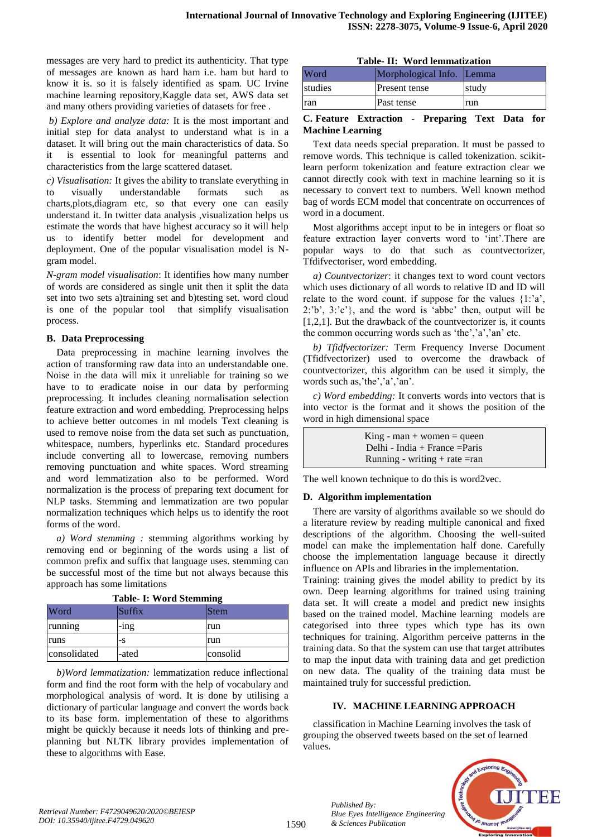messages are very hard to predict its authenticity. That type of messages are known as hard ham i.e. ham but hard to know it is. so it is falsely identified as spam. UC Irvine machine learning repository,Kaggle data set, AWS data set and many others providing varieties of datasets for free .

*b) Explore and analyze data:* It is the most important and initial step for data analyst to understand what is in a dataset. It will bring out the main characteristics of data. So it is essential to look for meaningful patterns and characteristics from the large scattered dataset.

*c) Visualisation:* It gives the ability to translate everything in to visually understandable formats such charts,plots,diagram etc, so that every one can easily understand it. In twitter data analysis ,visualization helps us estimate the words that have highest accuracy so it will help us to identify better model for development and deployment. One of the popular visualisation model is Ngram model.

*N-gram model visualisation*: It identifies how many number of words are considered as single unit then it split the data set into two sets a)training set and b)testing set. word cloud is one of the popular tool that simplify visualisation process.

## **B. Data Preprocessing**

Data preprocessing in machine learning involves the action of transforming raw data into an understandable one. Noise in the data will mix it unreliable for training so we have to to eradicate noise in our data by performing preprocessing. It includes cleaning normalisation selection feature extraction and word embedding. Preprocessing helps to achieve better outcomes in ml models Text cleaning is used to remove noise from the data set such as punctuation, whitespace, numbers, hyperlinks etc. Standard procedures include converting all to lowercase, removing numbers removing punctuation and white spaces. Word streaming and word lemmatization also to be performed. Word normalization is the process of preparing text document for NLP tasks. Stemming and lemmatization are two popular normalization techniques which helps us to identify the root forms of the word.

*a) Word stemming :* stemming algorithms working by removing end or beginning of the words using a list of common prefix and suffix that language uses. stemming can be successful most of the time but not always because this approach has some limitations

| Taple- I: Word Stemming |         |          |  |  |
|-------------------------|---------|----------|--|--|
| Word                    | Suffix  | Stem     |  |  |
| running                 | $-$ ing | run      |  |  |
| runs                    | -S      | run      |  |  |
| consolidated            | -ated   | consolid |  |  |

**Table- I: Word Stemming**

*b)Word lemmatization:* lemmatization reduce inflectional form and find the root form with the help of vocabulary and morphological analysis of word. It is done by utilising a dictionary of particular language and convert the words back to its base form. implementation of these to algorithms might be quickly because it needs lots of thinking and preplanning but NLTK library provides implementation of these to algorithms with Ease.

|  | Table- II: Word lemmatization |  |
|--|-------------------------------|--|
|  |                               |  |

| Word    | Morphological Info. Lemma |       |
|---------|---------------------------|-------|
| studies | Present tense             | study |
| ran     | Past tense                | run   |

## **C. Feature Extraction - Preparing Text Data for Machine Learning**

Text data needs special preparation. It must be passed to remove words. This technique is called tokenization. scikitlearn perform tokenization and feature extraction clear we cannot directly cook with text in machine learning so it is necessary to convert text to numbers. Well known method bag of words ECM model that concentrate on occurrences of word in a document.

Most algorithms accept input to be in integers or float so feature extraction layer converts word to 'int'.There are popular ways to do that such as countvectorizer, Tfdifvectoriser, word embedding.

*a) Countvectorizer*: it changes text to word count vectors which uses dictionary of all words to relative ID and ID will relate to the word count. if suppose for the values  $\{1: a\}$ , 2:'b', 3:'c'}, and the word is 'abbc' then, output will be [1,2,1]. But the drawback of the countvectorizer is, it counts the common occurring words such as 'the','a','an' etc.

*b) Tfidfvectorizer:* Term Frequency Inverse Document (Tfidfvectorizer) used to overcome the drawback of countvectorizer, this algorithm can be used it simply, the words such as,'the','a','an'.

*c) Word embedding:* It converts words into vectors that is into vector is the format and it shows the position of the word in high dimensional space

> $King - man + women = queen$ Delhi - India + France =Paris Running - writing + rate  $=$ ran

The well known technique to do this is word2vec.

## **D. Algorithm implementation**

There are varsity of algorithms available so we should do a literature review by reading multiple canonical and fixed descriptions of the algorithm. Choosing the well-suited model can make the implementation half done. Carefully choose the implementation language because it directly influence on APIs and libraries in the implementation.

Training: training gives the model ability to predict by its own. Deep learning algorithms for trained using training data set. It will create a model and predict new insights based on the trained model. Machine learning models are categorised into three types which type has its own techniques for training. Algorithm perceive patterns in the training data. So that the system can use that target attributes to map the input data with training data and get prediction on new data. The quality of the training data must be maintained truly for successful prediction.

# **IV. MACHINE LEARNINGAPPROACH**

classification in Machine Learning involves the task of grouping the observed tweets based on the set of learned values.



*Published By:*

*& Sciences Publication* 

*Blue Eyes Intelligence Engineering*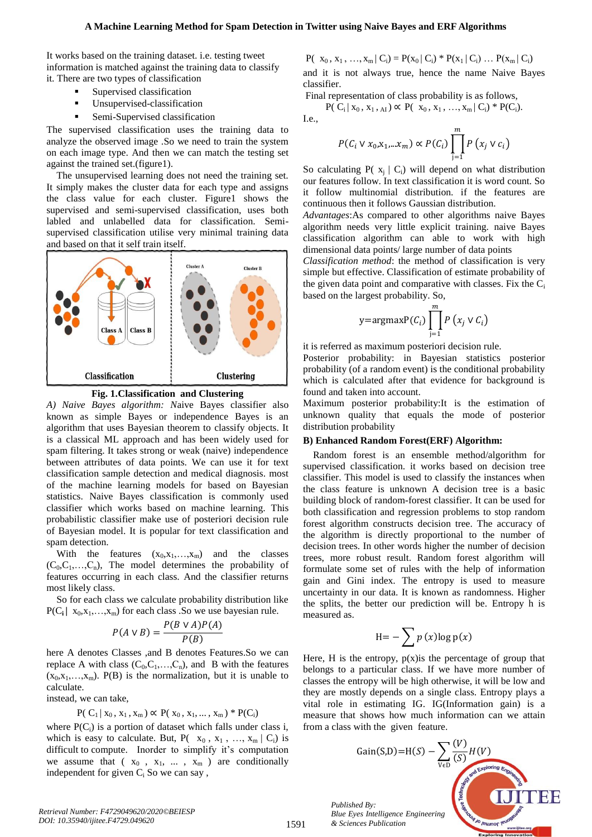#### **A Machine Learning Method for Spam Detection in Twitter using Naive Bayes and ERF Algorithms**

It works based on the training dataset. i.e. testing tweet information is matched against the training data to classify it. There are two types of classification

- Supervised classification
- Unsupervised-classification
- Semi-Supervised classification

The supervised classification uses the training data to analyze the observed image .So we need to train the system on each image type. And then we can match the testing set against the trained set.(figure1).

The unsupervised learning does not need the training set. It simply makes the cluster data for each type and assigns the class value for each cluster. Figure1 shows the supervised and semi-supervised classification, uses both labled and unlabelled data for classification. Semisupervised classification utilise very minimal training data and based on that it self train itself.





*A) Naive Bayes algorithm: N*aive Bayes classifier also known as simple Bayes or independence Bayes is an algorithm that uses Bayesian theorem to classify objects. It is a classical ML approach and has been widely used for spam filtering. It takes strong or weak (naive) independence between attributes of data points. We can use it for text classification sample detection and medical diagnosis. most of the machine learning models for based on Bayesian statistics. Naive Bayes classification is commonly used classifier which works based on machine learning. This probabilistic classifier make use of posteriori decision rule of Bayesian model. It is popular for text classification and spam detection.

With the features  $(x_0, x_1, \ldots, x_m)$  and the classes  $(C_0, C_1, \ldots, C_n)$ , The model determines the probability of features occurring in each class. And the classifier returns most likely class.

So for each class we calculate probability distribution like  $P(C_i | X_0, X_1, \ldots, X_m)$  for each class . So we use bayesian rule.

$$
P(A \lor B) = \frac{P(B \lor A)P(A)}{P(B)}
$$

here A denotes Classes ,and B denotes Features.So we can replace A with class  $(C_0, C_1, \ldots, C_n)$ , and B with the features  $(x_0, x_1, \ldots, x_m)$ . P(B) is the normalization, but it is unable to calculate.

instead, we can take,

$$
P(C_1 | x_0, x_1, x_m) \propto P(x_0, x_1, ..., x_m)
$$
 \*  $P(C_i)$ 

where  $P(C_i)$  is a portion of dataset which falls under class i, which is easy to calculate. But,  $P(-x_0, x_1, ..., x_m | C_i)$  is difficult to compute. Inorder to simplify it's computation we assume that  $(x_0, x_1, \ldots, x_m)$  are conditionally independent for given  $C_i$  So we can say,

 $P(|x_0, x_1, ..., x_m|C_i) = P(x_0 | C_i) * P(x_1 | C_i) ... P(x_m | C_i)$ and it is not always true, hence the name Naive Bayes

Final representation of class probability is as follows,

$$
P(\ C_i \,|\, x_0, x_1, x_A) \propto P(\ x_0, x_1, \ldots, x_m \,|\, C_i) * P(C_i).
$$

I.e.,

classifier.

$$
P(C_i \vee x_0, x_1, \dots, x_m) \propto P(C_i) \prod_{j=1}^m P(x_j \vee c_i)
$$

So calculating P( $x_i | C_i$ ) will depend on what distribution our features follow. In text classification it is word count. So it follow multinomial distribution. if the features are continuous then it follows Gaussian distribution.

*Advantages*:As compared to other algorithms naive Bayes algorithm needs very little explicit training. naive Bayes classification algorithm can able to work with high dimensional data points/ large number of data points

*Classification method*: the method of classification is very simple but effective. Classification of estimate probability of the given data point and comparative with classes. Fix the  $C_i$ based on the largest probability. So,

$$
y = \text{argmax} P(C_i) \prod_{j=1}^{m} P(x_j \vee C_i)
$$

it is referred as maximum posteriori decision rule.

Posterior probability: in Bayesian statistics posterior probability (of a random event) is the conditional probability which is calculated after that evidence for background is found and taken into account.

Maximum posterior probability:It is the estimation of unknown quality that equals the mode of posterior distribution probability

## **B) Enhanced Random Forest(ERF) Algorithm:**

Random forest is an ensemble method/algorithm for supervised classification. it works based on decision tree classifier. This model is used to classify the instances when the class feature is unknown A decision tree is a basic building block of random-forest classifier. It can be used for both classification and regression problems to stop random forest algorithm constructs decision tree. The accuracy of the algorithm is directly proportional to the number of decision trees. In other words higher the number of decision trees, more robust result. Random forest algorithm will formulate some set of rules with the help of information gain and Gini index. The entropy is used to measure uncertainty in our data. It is known as randomness. Higher the splits, the better our prediction will be. Entropy h is measured as.

$$
H = -\sum p(x) \log p(x)
$$

Here, H is the entropy,  $p(x)$  is the percentage of group that belongs to a particular class. If we have more number of classes the entropy will be high otherwise, it will be low and they are mostly depends on a single class. Entropy plays a vital role in estimating IG. IG(Information gain) is a measure that shows how much information can we attain from a class with the given feature.

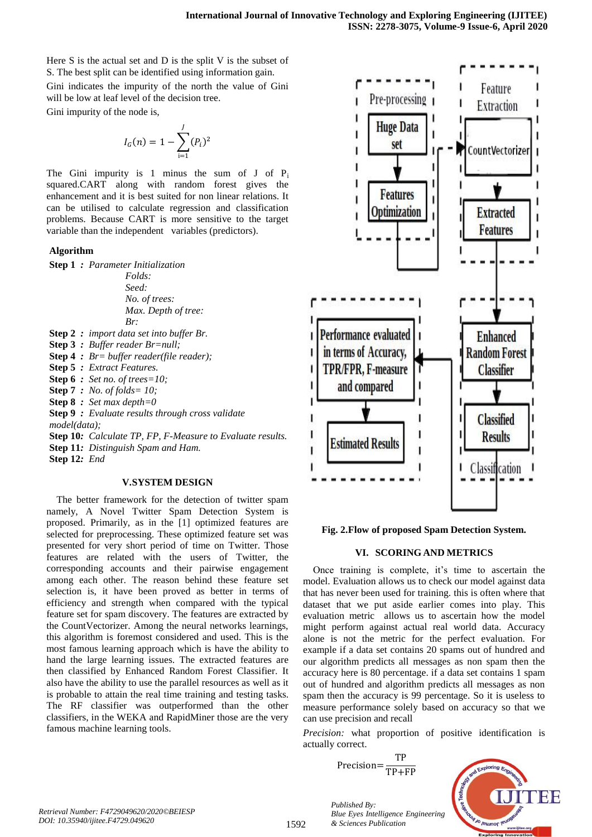Here S is the actual set and D is the split V is the subset of S. The best split can be identified using information gain.

Gini indicates the impurity of the north the value of Gini will be low at leaf level of the decision tree.

Gini impurity of the node is,

$$
I_G(n) = 1 - \sum_{i=1}^{J} (P_i)^2
$$

The Gini impurity is 1 minus the sum of  $J$  of  $P_i$ squared.CART along with random forest gives the enhancement and it is best suited for non linear relations. It can be utilised to calculate regression and classification problems. Because CART is more sensitive to the target variable than the independent variables (predictors).

## **Algorithm**

**Step 1** *: Parameter Initialization*

*Folds: Seed: No. of trees: Max. Depth of tree: Br:*

- **Step 2** *: import data set into buffer Br.*
- **Step 3** *: Buffer reader Br=null;*
- **Step 4** *: Br= buffer reader(file reader);*
- **Step 5** *: Extract Features.*
- **Step 6** *: Set no. of trees=10;*
- **Step 7** *: No. of folds= 10;*
- **Step 8** *: Set max depth=0*
- **Step 9** *: Evaluate results through cross validate model(data);*
- **Step 10***: Calculate TP, FP, F-Measure to Evaluate results.*
- **Step 11***: Distinguish Spam and Ham.*

**Step 12***: End*

## **V.SYSTEM DESIGN**

The better framework for the detection of twitter spam namely, A Novel Twitter Spam Detection System is proposed. Primarily, as in the [1] optimized features are selected for preprocessing. These optimized feature set was presented for very short period of time on Twitter. Those features are related with the users of Twitter, the corresponding accounts and their pairwise engagement among each other. The reason behind these feature set selection is, it have been proved as better in terms of efficiency and strength when compared with the typical feature set for spam discovery. The features are extracted by the CountVectorizer. Among the neural networks learnings, this algorithm is foremost considered and used. This is the most famous learning approach which is have the ability to hand the large learning issues. The extracted features are then classified by Enhanced Random Forest Classifier. It also have the ability to use the parallel resources as well as it is probable to attain the real time training and testing tasks. The RF classifier was outperformed than the other classifiers, in the WEKA and RapidMiner those are the very famous machine learning tools.



**Fig. 2.Flow of proposed Spam Detection System.**

## **VI. SCORINGAND METRICS**

Once training is complete, it's time to ascertain the model. Evaluation allows us to check our model against data that has never been used for training. this is often where that dataset that we put aside earlier comes into play. This evaluation metric allows us to ascertain how the model might perform against actual real world data. Accuracy alone is not the metric for the perfect evaluation. For example if a data set contains 20 spams out of hundred and our algorithm predicts all messages as non spam then the accuracy here is 80 percentage. if a data set contains 1 spam out of hundred and algorithm predicts all messages as non spam then the accuracy is 99 percentage. So it is useless to measure performance solely based on accuracy so that we can use precision and recall

*Precision:* what proportion of positive identification is actually correct.

> Precision= $\frac{T}{TD}$ T

*Published By:*

*& Sciences Publication* 



1592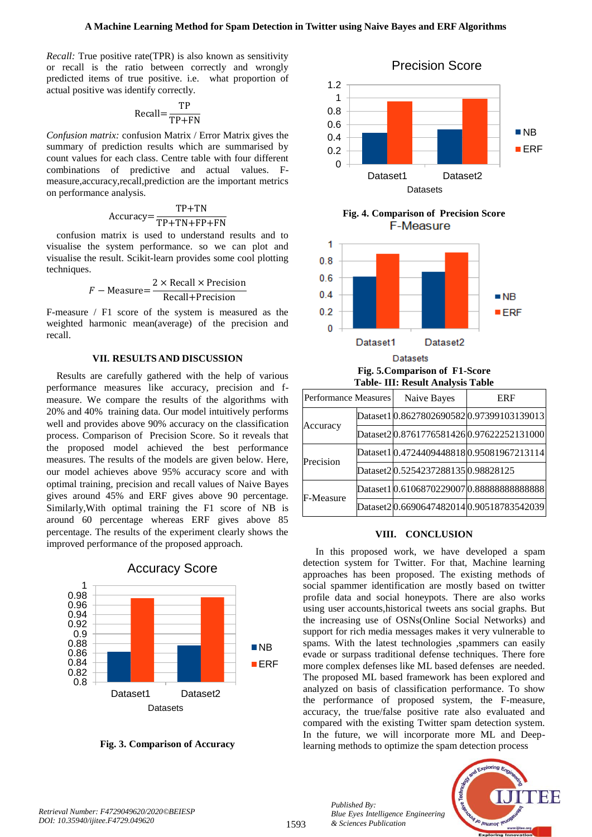*Recall:* True positive rate(TPR) is also known as sensitivity or recall is the ratio between correctly and wrongly predicted items of true positive. i.e. what proportion of actual positive was identify correctly.

$$
Recall = \frac{TP}{TP + FN}
$$

*Confusion matrix:* confusion Matrix / Error Matrix gives the summary of prediction results which are summarised by count values for each class. Centre table with four different combinations of predictive and actual values. Fmeasure,accuracy,recall,prediction are the important metrics on performance analysis.

$$
Accuracy = \frac{TP + TN}{TP + TN + FP + FN}
$$

confusion matrix is used to understand results and to visualise the system performance. so we can plot and visualise the result. Scikit-learn provides some cool plotting techniques.

$$
F - Measure = \frac{2 \times Recall \times Precision}{Recall + Precision}
$$

F-measure / F1 score of the system is measured as the weighted harmonic mean(average) of the precision and recall.

## **VII. RESULTS AND DISCUSSION**

Results are carefully gathered with the help of various performance measures like accuracy, precision and fmeasure. We compare the results of the algorithms with 20% and 40% training data. Our model intuitively performs well and provides above 90% accuracy on the classification process. Comparison of Precision Score. So it reveals that the proposed model achieved the best performance measures. The results of the models are given below. Here, our model achieves above 95% accuracy score and with optimal training, precision and recall values of Naive Bayes gives around 45% and ERF gives above 90 percentage. Similarly,With optimal training the F1 score of NB is around 60 percentage whereas ERF gives above 85 percentage. The results of the experiment clearly shows the improved performance of the proposed approach.



**Fig. 3. Comparison of Accuracy**



**Fig. 4. Comparison of Precision Score F-Measure** 



**Fig. 5.Comparison of F1-Score Table- III: Result Analysis Table**

| Performance Measures |  | Naive Bayes                         | ERF                                        |
|----------------------|--|-------------------------------------|--------------------------------------------|
| Accuracy             |  |                                     | Dataset1 0.8627802690582 0.97399103139013  |
|                      |  |                                     | Dataset2 0.8761776581426 0.97622252131000  |
| Precision            |  |                                     | Dataset1 0.4724409448818 0.95081967213114  |
|                      |  | Dataset2 0.5254237288135 0.98828125 |                                            |
| F-Measure            |  |                                     | Dataset1 0.6106870229007 0.888888888888888 |
|                      |  |                                     | Dataset2 0.6690647482014 0.90518783542039  |

## **VIII. CONCLUSION**

In this proposed work, we have developed a spam detection system for Twitter. For that, Machine learning approaches has been proposed. The existing methods of social spammer identification are mostly based on twitter profile data and social honeypots. There are also works using user accounts,historical tweets ans social graphs. But the increasing use of OSNs(Online Social Networks) and support for rich media messages makes it very vulnerable to spams. With the latest technologies ,spammers can easily evade or surpass traditional defense techniques. There fore more complex defenses like ML based defenses are needed. The proposed ML based framework has been explored and analyzed on basis of classification performance. To show the performance of proposed system, the F-measure, accuracy, the true/false positive rate also evaluated and compared with the existing Twitter spam detection system. In the future, we will incorporate more ML and Deeplearning methods to optimize the spam detection process



*Retrieval Number: F4729049620/2020©BEIESP*

*DOI: 10.35940/ijitee.F4729.049620*

*Published By:*

*& Sciences Publication* 

*Blue Eyes Intelligence Engineering*